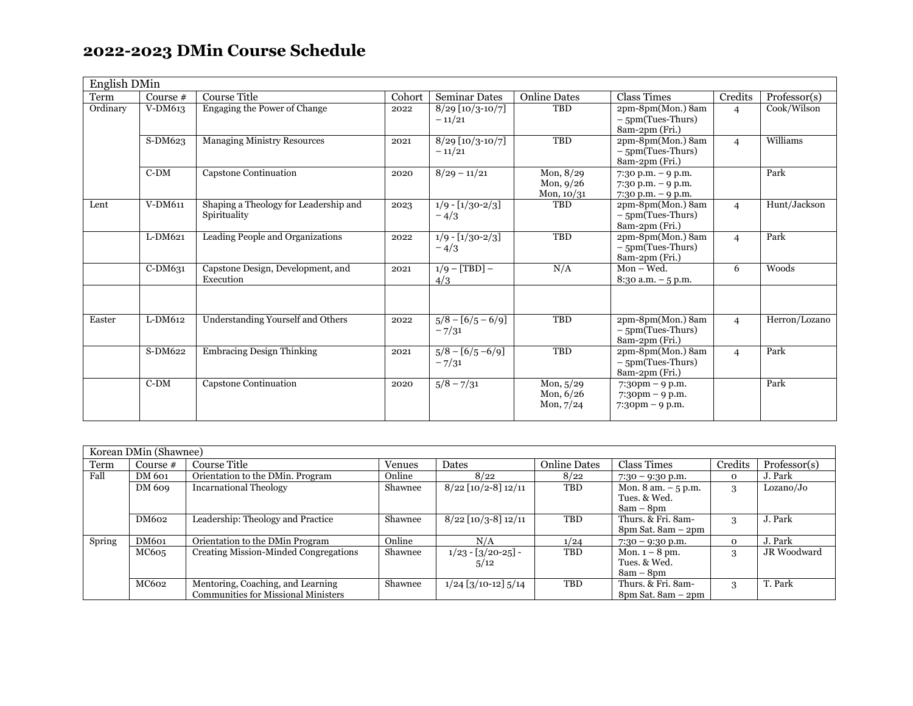## **2022-2023 DMin Course Schedule**

| English DMin |            |                                                       |        |                                |                                            |                                                                                                          |                |               |
|--------------|------------|-------------------------------------------------------|--------|--------------------------------|--------------------------------------------|----------------------------------------------------------------------------------------------------------|----------------|---------------|
| Term         | Course $#$ | <b>Course Title</b>                                   | Cohort | <b>Seminar Dates</b>           | <b>Online Dates</b>                        | <b>Class Times</b>                                                                                       | Credits        | Professor(s)  |
| Ordinary     | V-DM613    | Engaging the Power of Change                          | 2022   | $8/29$ [10/3-10/7]<br>$-11/21$ | TBD                                        | 2pm-8pm(Mon.) 8am<br>$-5pm(Tues-Thurs)$<br>8am-2pm (Fri.)                                                | $\overline{4}$ | Cook/Wilson   |
|              | S-DM623    | <b>Managing Ministry Resources</b>                    | 2021   | $8/29$ [10/3-10/7]<br>$-11/21$ | <b>TBD</b>                                 | 2pm-8pm(Mon.) 8am<br>$-5pm(Tues-Thus)$<br>8am-2pm (Fri.)                                                 | $\overline{4}$ | Williams      |
|              | $C-DM$     | Capstone Continuation                                 | 2020   | $8/29 - 11/21$                 | Mon, $8/29$<br>Mon, $9/26$<br>Mon, $10/31$ | $7:30$ p.m. $-9$ p.m.<br>$7:30$ p.m. $-9$ p.m.<br>$7:30$ p.m. $-9$ p.m.                                  |                | Park          |
| Lent         | V-DM611    | Shaping a Theology for Leadership and<br>Spirituality | 2023   | $1/9 - [1/30-2/3]$<br>$-4/3$   | <b>TBD</b>                                 | 2pm-8pm(Mon.) 8am<br>$-5pm(Tues-Thus)$<br>8am-2pm (Fri.)                                                 | $\overline{4}$ | Hunt/Jackson  |
|              | L-DM621    | Leading People and Organizations                      | 2022   | $1/9 - [1/30-2/3]$<br>$-4/3$   | <b>TBD</b>                                 | 2pm-8pm(Mon.) 8am<br>$-5pm(Tues-Thurs)$<br>8am-2pm (Fri.)                                                | $\overline{4}$ | Park          |
|              | C-DM631    | Capstone Design, Development, and<br>Execution        | 2021   | $1/9 - [TBD] -$<br>4/3         | N/A                                        | $Mon - Wed.$<br>$8:30$ a.m. $-5$ p.m.                                                                    | 6              | Woods         |
| Easter       | L-DM612    | Understanding Yourself and Others                     | 2022   | $5/8 - [6/5 - 6/9]$<br>$-7/31$ | TBD                                        | 2pm-8pm(Mon.) 8am<br>$-5$ pm(Tues-Thurs)<br>8am-2pm (Fri.)                                               | $\overline{4}$ | Herron/Lozano |
|              | S-DM622    | <b>Embracing Design Thinking</b>                      | 2021   | $5/8 - [6/5 - 6/9]$<br>$-7/31$ | <b>TBD</b>                                 | 2pm-8pm(Mon.) 8am<br>$-5pm(Tues-Thus)$<br>8am-2pm (Fri.)                                                 | $\overline{4}$ | Park          |
|              | $C-DM$     | Capstone Continuation                                 | 2020   | $\sqrt{5/8} - \frac{7}{31}$    | Mon, $5/29$<br>Mon, $6/26$<br>Mon, $7/24$  | $7:30 \text{pm} - 9 \text{p.m}.$<br>$7:30 \text{pm} - 9 \text{p.m}.$<br>$7:30 \text{pm} - 9 \text{p.m}.$ |                | Park          |

| Korean DMin (Shawnee) |          |                                            |         |                       |              |                                       |          |                    |  |
|-----------------------|----------|--------------------------------------------|---------|-----------------------|--------------|---------------------------------------|----------|--------------------|--|
| Term                  | Course # | Course Title                               | Venues  | Dates                 | Online Dates | Class Times                           | Credits  | Professor(s)       |  |
| Fall                  | DM 601   | Orientation to the DMin. Program           | Online  | 8/22                  | 8/22         | $7:30 - 9:30$ p.m.                    | $\Omega$ | J. Park            |  |
|                       | DM 609   | <b>Incarnational Theology</b>              | Shawnee | $8/22$ [10/2-8] 12/11 | <b>TBD</b>   | Mon. $8 \text{ am.} - 5 \text{ p.m.}$ | 3        | Lozano/Jo          |  |
|                       |          |                                            |         |                       |              | Tues. & Wed.                          |          |                    |  |
|                       |          |                                            |         |                       |              | $8am - 8pm$                           |          |                    |  |
|                       | DM602    | Leadership: Theology and Practice          | Shawnee | $8/22$ [10/3-8] 12/11 | <b>TBD</b>   | Thurs. & Fri. 8am-                    | 3        | J. Park            |  |
|                       |          |                                            |         |                       |              | $8pm$ Sat. $8am - 2pm$                |          |                    |  |
| Spring                | DM601    | Orientation to the DMin Program            | Online  | N/A                   | 1/24         | $7:30 - 9:30$ p.m.                    | $\Omega$ | J. Park            |  |
|                       | MC605    | Creating Mission-Minded Congregations      | Shawnee | $1/23 - [3/20-25]$ -  | TBD          | Mon. $1-8$ pm.                        | 3        | <b>JR</b> Woodward |  |
|                       |          |                                            |         | 5/12                  |              | Tues. & Wed.                          |          |                    |  |
|                       |          |                                            |         |                       |              | $8am - 8pm$                           |          |                    |  |
|                       | MC602    | Mentoring, Coaching, and Learning          | Shawnee | $1/24$ [3/10-12] 5/14 | <b>TBD</b>   | Thurs. & Fri. 8am-                    | 3        | T. Park            |  |
|                       |          | <b>Communities for Missional Ministers</b> |         |                       |              | $8pm$ Sat. $8am - 2pm$                |          |                    |  |